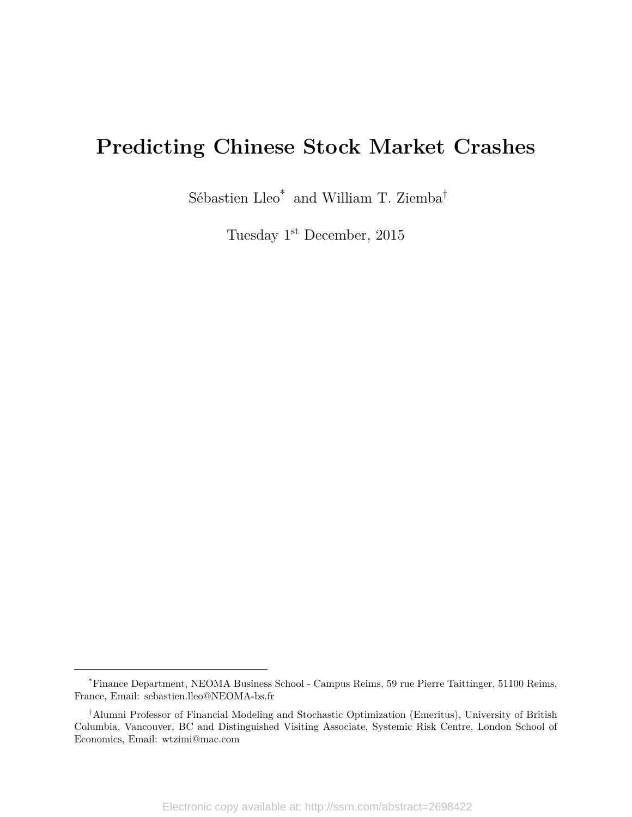## **Predicting Chinese Stock Market Crashes**

Sébastien Lleo\* and William T. Ziemba<sup>†</sup>

Tuesday 1st December, 2015

<sup>\*</sup>Finance Department, NEOMA Business School - Campus Reims, 59 rue Pierre Taittinger, 51100 Reims, France, Email: sebastien.lleo@NEOMA-bs.fr

<sup>†</sup>Alumni Professor of Financial Modeling and Stochastic Optimization (Emeritus), University of British Columbia, Vancouver, BC and Distinguished Visiting Associate, Systemic Risk Centre, London School of Economics, Email: wtzimi@mac.com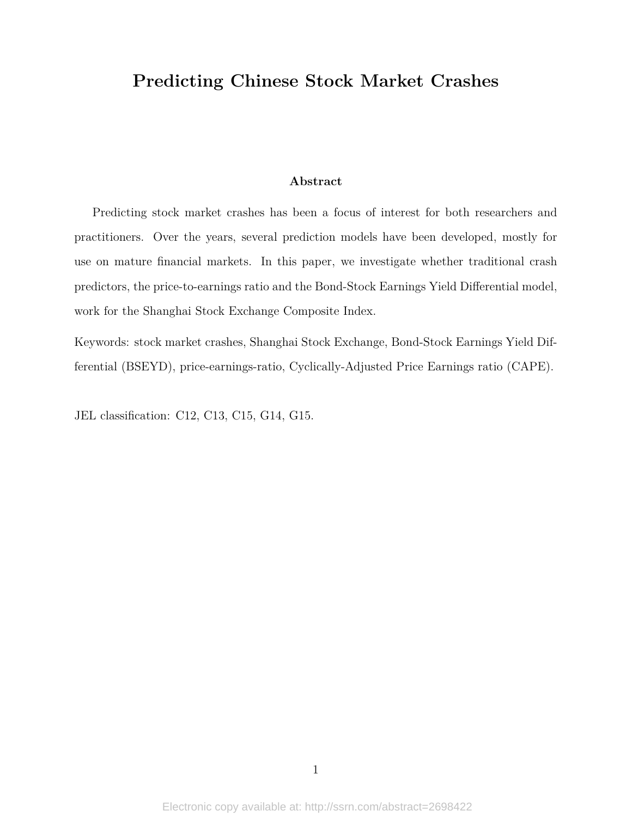## **Predicting Chinese Stock Market Crashes**

### **Abstract**

Predicting stock market crashes has been a focus of interest for both researchers and practitioners. Over the years, several prediction models have been developed, mostly for use on mature financial markets. In this paper, we investigate whether traditional crash predictors, the price-to-earnings ratio and the Bond-Stock Earnings Yield Differential model, work for the Shanghai Stock Exchange Composite Index.

Keywords: stock market crashes, Shanghai Stock Exchange, Bond-Stock Earnings Yield Differential (BSEYD), price-earnings-ratio, Cyclically-Adjusted Price Earnings ratio (CAPE).

JEL classification: C12, C13, C15, G14, G15.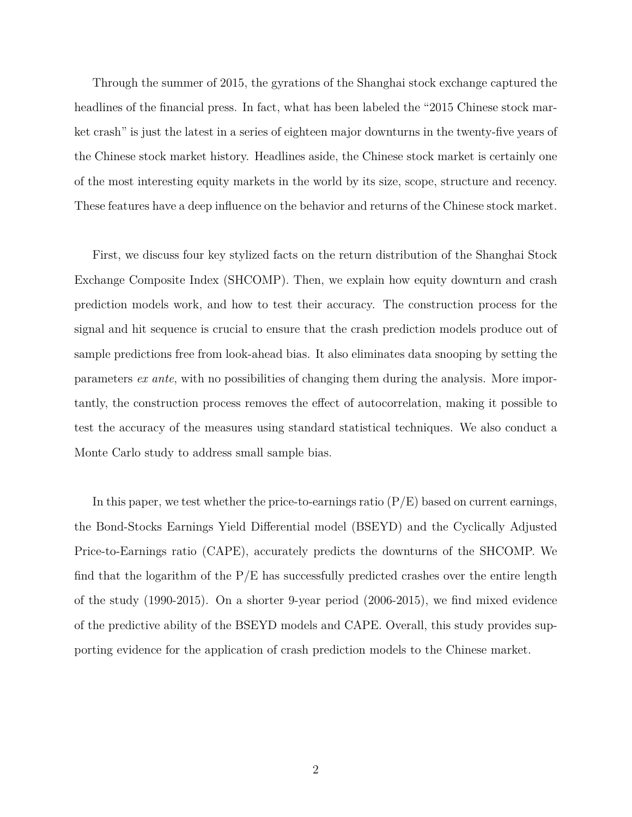Through the summer of 2015, the gyrations of the Shanghai stock exchange captured the headlines of the financial press. In fact, what has been labeled the "2015 Chinese stock market crash" is just the latest in a series of eighteen major downturns in the twenty-five years of the Chinese stock market history. Headlines aside, the Chinese stock market is certainly one of the most interesting equity markets in the world by its size, scope, structure and recency. These features have a deep influence on the behavior and returns of the Chinese stock market.

First, we discuss four key stylized facts on the return distribution of the Shanghai Stock Exchange Composite Index (SHCOMP). Then, we explain how equity downturn and crash prediction models work, and how to test their accuracy. The construction process for the signal and hit sequence is crucial to ensure that the crash prediction models produce out of sample predictions free from look-ahead bias. It also eliminates data snooping by setting the parameters *ex ante*, with no possibilities of changing them during the analysis. More importantly, the construction process removes the effect of autocorrelation, making it possible to test the accuracy of the measures using standard statistical techniques. We also conduct a Monte Carlo study to address small sample bias.

In this paper, we test whether the price-to-earnings ratio  $(P/E)$  based on current earnings, the Bond-Stocks Earnings Yield Differential model (BSEYD) and the Cyclically Adjusted Price-to-Earnings ratio (CAPE), accurately predicts the downturns of the SHCOMP. We find that the logarithm of the  $P/E$  has successfully predicted crashes over the entire length of the study (1990-2015). On a shorter 9-year period (2006-2015), we find mixed evidence of the predictive ability of the BSEYD models and CAPE. Overall, this study provides supporting evidence for the application of crash prediction models to the Chinese market.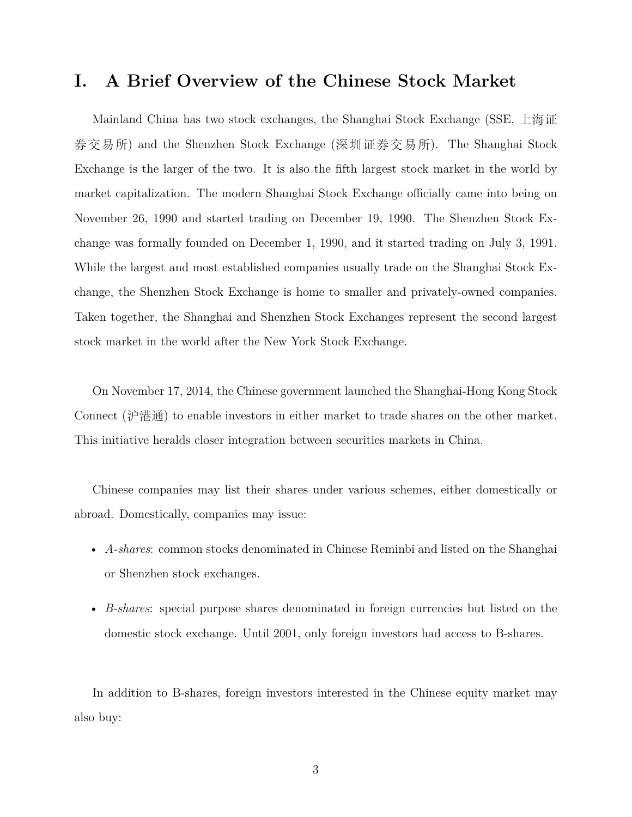## **I. A Brief Overview of the Chinese Stock Market**

Mainland China has two stock exchanges, the Shanghai Stock Exchange (SSE, 上海证 券交易所) and the Shenzhen Stock Exchange (深圳证券交易所). The Shanghai Stock Exchange is the larger of the two. It is also the fifth largest stock market in the world by market capitalization. The modern Shanghai Stock Exchange officially came into being on November 26, 1990 and started trading on December 19, 1990. The Shenzhen Stock Exchange was formally founded on December 1, 1990, and it started trading on July 3, 1991. While the largest and most established companies usually trade on the Shanghai Stock Exchange, the Shenzhen Stock Exchange is home to smaller and privately-owned companies. Taken together, the Shanghai and Shenzhen Stock Exchanges represent the second largest stock market in the world after the New York Stock Exchange.

On November 17, 2014, the Chinese government launched the Shanghai-Hong Kong Stock Connect (沪港通) to enable investors in either market to trade shares on the other market. This initiative heralds closer integration between securities markets in China.

Chinese companies may list their shares under various schemes, either domestically or abroad. Domestically, companies may issue:

- *A-shares*: common stocks denominated in Chinese Reminbi and listed on the Shanghai or Shenzhen stock exchanges.
- *B-shares*: special purpose shares denominated in foreign currencies but listed on the domestic stock exchange. Until 2001, only foreign investors had access to B-shares.

In addition to B-shares, foreign investors interested in the Chinese equity market may also buy: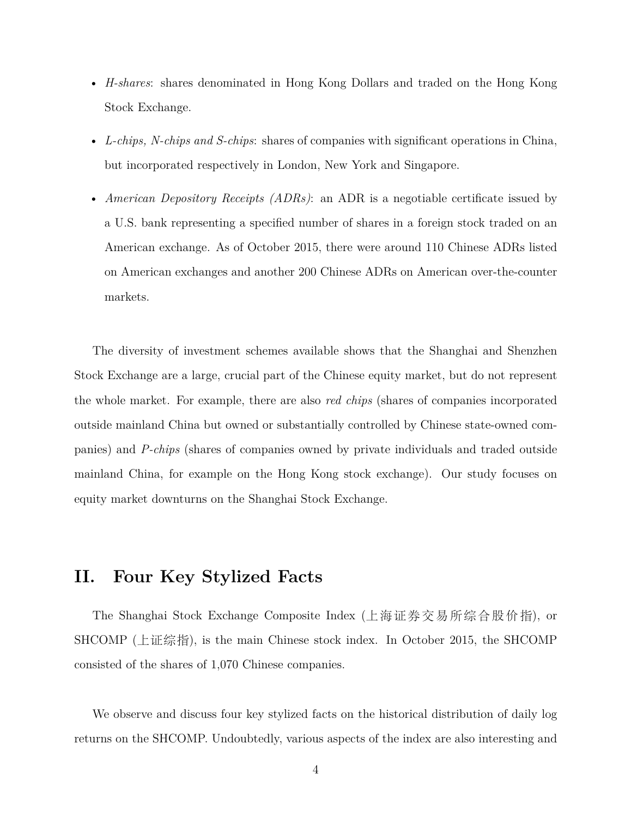- *H-shares*: shares denominated in Hong Kong Dollars and traded on the Hong Kong Stock Exchange.
- *L-chips, N-chips and S-chips*: shares of companies with significant operations in China, but incorporated respectively in London, New York and Singapore.
- *American Depository Receipts (ADRs)*: an ADR is a negotiable certificate issued by a U.S. bank representing a specified number of shares in a foreign stock traded on an American exchange. As of October 2015, there were around 110 Chinese ADRs listed on American exchanges and another 200 Chinese ADRs on American over-the-counter markets.

The diversity of investment schemes available shows that the Shanghai and Shenzhen Stock Exchange are a large, crucial part of the Chinese equity market, but do not represent the whole market. For example, there are also *red chips* (shares of companies incorporated outside mainland China but owned or substantially controlled by Chinese state-owned companies) and *P-chips* (shares of companies owned by private individuals and traded outside mainland China, for example on the Hong Kong stock exchange). Our study focuses on equity market downturns on the Shanghai Stock Exchange.

## **II. Four Key Stylized Facts**

The Shanghai Stock Exchange Composite Index (上海证券交易所综合股价指), or SHCOMP (上证综指), is the main Chinese stock index. In October 2015, the SHCOMP consisted of the shares of 1,070 Chinese companies.

We observe and discuss four key stylized facts on the historical distribution of daily log returns on the SHCOMP. Undoubtedly, various aspects of the index are also interesting and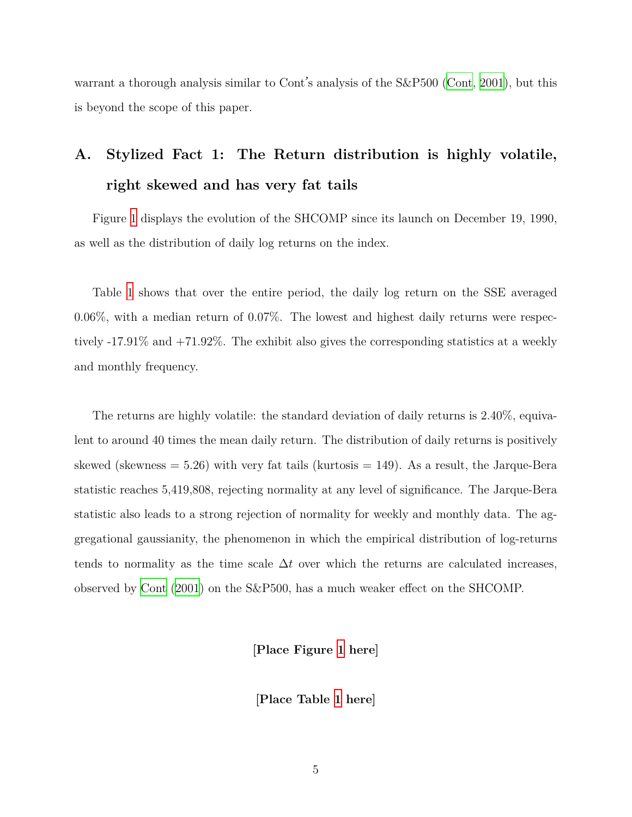warrant a thorough analysis similar to Cont's analysis of the S&P500 [\(Cont](#page-22-0), [2001](#page-22-0)), but this is beyond the scope of this paper.

## **A. Stylized Fact 1: The Return distribution is highly volatile, right skewed and has very fat tails**

Figure [1](#page-24-0) displays the evolution of the SHCOMP since its launch on December 19, 1990, as well as the distribution of daily log returns on the index.

Table [1](#page-25-0) shows that over the entire period, the daily log return on the SSE averaged 0.06%, with a median return of 0.07%. The lowest and highest daily returns were respectively -17.91% and +71.92%. The exhibit also gives the corresponding statistics at a weekly and monthly frequency.

The returns are highly volatile: the standard deviation of daily returns is 2.40%, equivalent to around 40 times the mean daily return. The distribution of daily returns is positively skewed (skewness  $= 5.26$ ) with very fat tails (kurtosis  $= 149$ ). As a result, the Jarque-Bera statistic reaches 5,419,808, rejecting normality at any level of significance. The Jarque-Bera statistic also leads to a strong rejection of normality for weekly and monthly data. The aggregational gaussianity, the phenomenon in which the empirical distribution of log-returns tends to normality as the time scale  $\Delta t$  over which the returns are calculated increases, observed by [Cont](#page-22-0) ([2001](#page-22-0)) on the S&P500, has a much weaker effect on the SHCOMP.

**[Place Figure [1](#page-24-0) here]**

**[Place Table [1](#page-25-0) here]**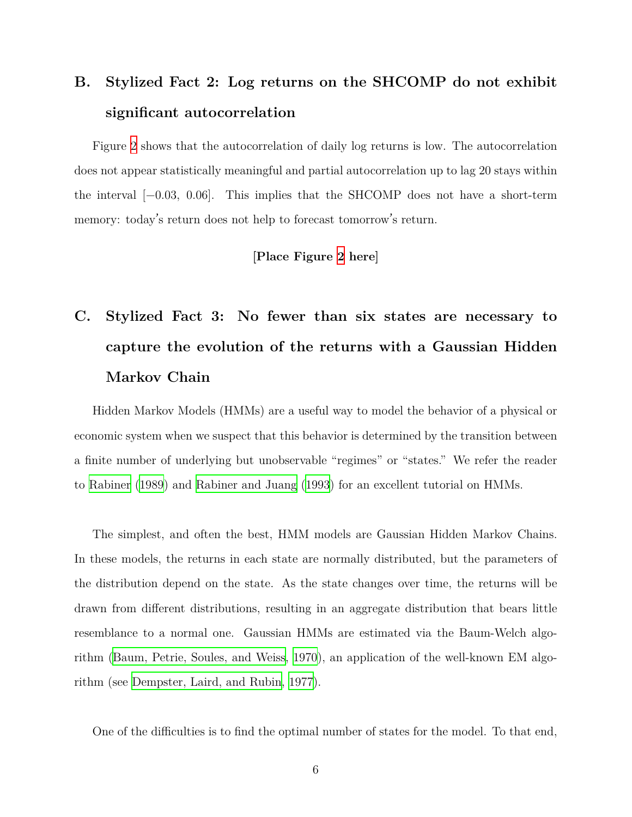## **B. Stylized Fact 2: Log returns on the SHCOMP do not exhibit significant autocorrelation**

Figure [2](#page-26-0) shows that the autocorrelation of daily log returns is low. The autocorrelation does not appear statistically meaningful and partial autocorrelation up to lag 20 stays within the interval [−0.03, 0.06]. This implies that the SHCOMP does not have a short-term memory: today's return does not help to forecast tomorrow's return.

#### **[Place Figure [2](#page-26-0) here]**

# **C. Stylized Fact 3: No fewer than six states are necessary to capture the evolution of the returns with a Gaussian Hidden Markov Chain**

Hidden Markov Models (HMMs) are a useful way to model the behavior of a physical or economic system when we suspect that this behavior is determined by the transition between a finite number of underlying but unobservable "regimes" or "states." We refer the reader to [Rabiner](#page-23-0) [\(1989\)](#page-23-0) and [Rabiner and Juang](#page-23-1) [\(1993\)](#page-23-1) for an excellent tutorial on HMMs.

The simplest, and often the best, HMM models are Gaussian Hidden Markov Chains. In these models, the returns in each state are normally distributed, but the parameters of the distribution depend on the state. As the state changes over time, the returns will be drawn from different distributions, resulting in an aggregate distribution that bears little resemblance to a normal one. Gaussian HMMs are estimated via the Baum-Welch algorithm [\(Baum, Petrie, Soules, and Weiss,](#page-22-1) [1970\)](#page-22-1), an application of the well-known EM algorithm (see [Dempster, Laird, and Rubin,](#page-22-2) [1977\)](#page-22-2).

One of the difficulties is to find the optimal number of states for the model. To that end,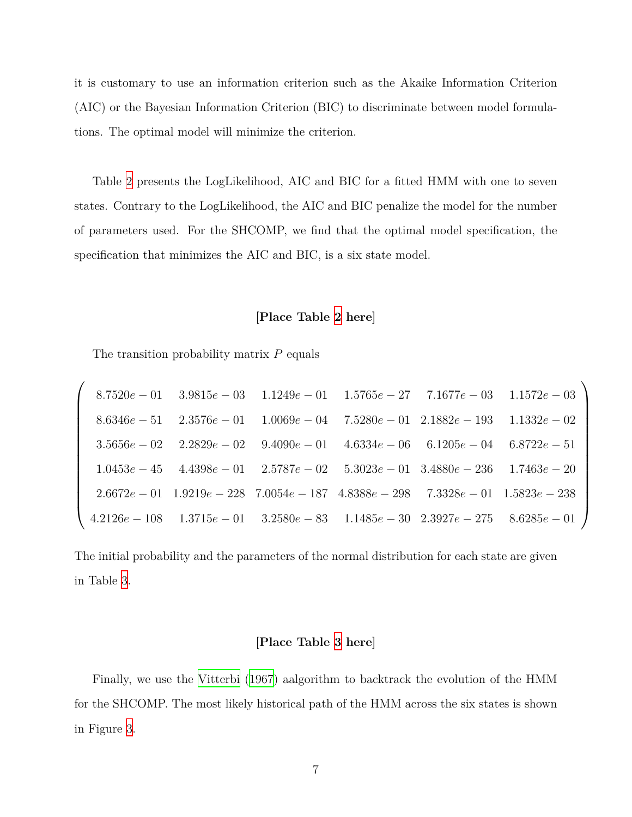it is customary to use an information criterion such as the Akaike Information Criterion (AIC) or the Bayesian Information Criterion (BIC) to discriminate between model formulations. The optimal model will minimize the criterion.

Table [2](#page-27-0) presents the LogLikelihood, AIC and BIC for a fitted HMM with one to seven states. Contrary to the LogLikelihood, the AIC and BIC penalize the model for the number of parameters used. For the SHCOMP, we find that the optimal model specification, the specification that minimizes the AIC and BIC, is a six state model.

#### **[Place Table [2](#page-27-0) here]**

The transition probability matrix *P* equals

 $\sqrt{ }$ 

|  |  |                                                                                                    | $8.7520e-01$ $3.9815e-03$ $1.1249e-01$ $1.5765e-27$ $7.1677e-03$ $1.1572e-03$               |
|--|--|----------------------------------------------------------------------------------------------------|---------------------------------------------------------------------------------------------|
|  |  | $8.6346e-51 \quad 2.3576e-01 \quad 1.0069e-04 \quad 7.5280e-01 \quad 2.1882e-193 \quad 1.1332e-02$ |                                                                                             |
|  |  |                                                                                                    | $3.5656e - 02$ $2.2829e - 02$ $9.4090e - 01$ $4.6334e - 06$ $6.1205e - 04$ $6.8722e - 51$   |
|  |  | $1.0453e-45$ $4.4398e-01$ $2.5787e-02$ $5.3023e-01$ $3.4880e-236$ $1.7463e-20$                     |                                                                                             |
|  |  | $2.6672e-01$ $1.9219e-228$ $7.0054e-187$ $4.8388e-298$ $7.3328e-01$ $1.5823e-238$                  |                                                                                             |
|  |  |                                                                                                    | $4.2126e - 108$ $1.3715e - 01$ $3.2580e - 83$ $1.1485e - 30$ $2.3927e - 275$ $8.6285e - 01$ |

The initial probability and the parameters of the normal distribution for each state are given in Table [3.](#page-27-1)

#### **[Place Table [3](#page-27-1) here]**

Finally, we use the [Vitterbi](#page-23-2) ([1967](#page-23-2)) aalgorithm to backtrack the evolution of the HMM for the SHCOMP. The most likely historical path of the HMM across the six states is shown in Figure [3](#page-28-0).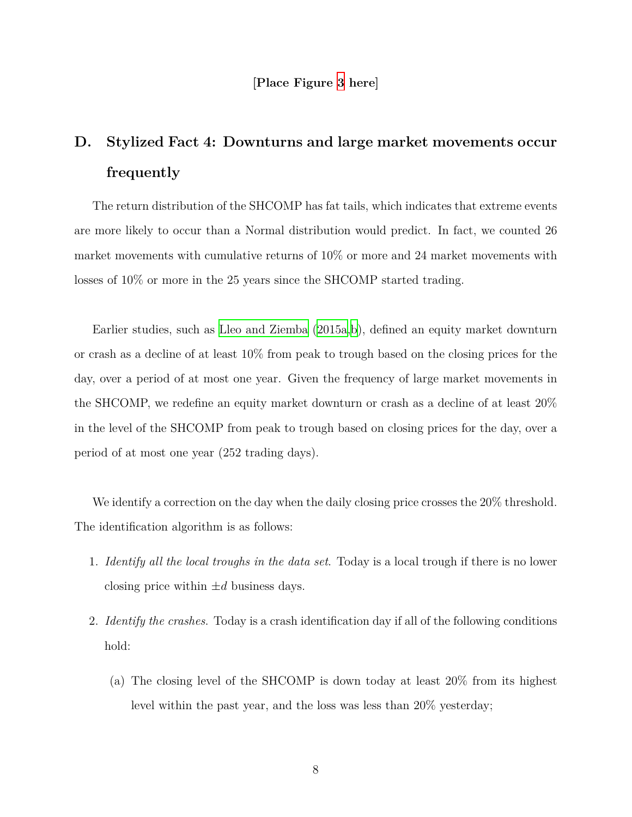#### **[Place Figure [3](#page-28-0) here]**

## **D. Stylized Fact 4: Downturns and large market movements occur frequently**

The return distribution of the SHCOMP has fat tails, which indicates that extreme events are more likely to occur than a Normal distribution would predict. In fact, we counted 26 market movements with cumulative returns of 10% or more and 24 market movements with losses of 10% or more in the 25 years since the SHCOMP started trading.

Earlier studies, such as [Lleo and Ziemba](#page-22-3) [\(2015a,](#page-22-3)[b](#page-22-4)), defined an equity market downturn or crash as a decline of at least 10% from peak to trough based on the closing prices for the day, over a period of at most one year. Given the frequency of large market movements in the SHCOMP, we redefine an equity market downturn or crash as a decline of at least 20% in the level of the SHCOMP from peak to trough based on closing prices for the day, over a period of at most one year (252 trading days).

We identify a correction on the day when the daily closing price crosses the 20% threshold. The identification algorithm is as follows:

- 1. *Identify all the local troughs in the data set*. Today is a local trough if there is no lower closing price within  $\pm d$  business days.
- 2. *Identify the crashes*. Today is a crash identification day if all of the following conditions hold:
	- (a) The closing level of the SHCOMP is down today at least 20% from its highest level within the past year, and the loss was less than 20% yesterday;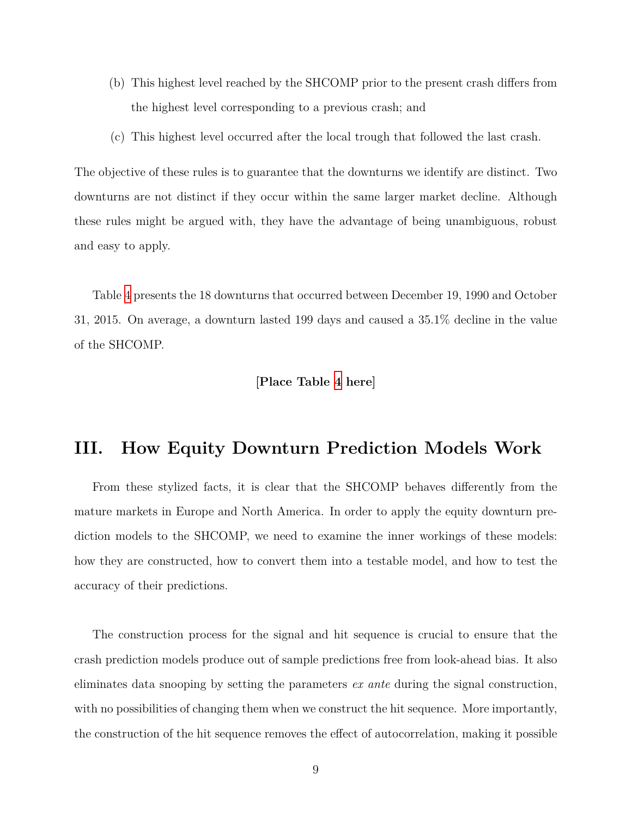- (b) This highest level reached by the SHCOMP prior to the present crash differs from the highest level corresponding to a previous crash; and
- (c) This highest level occurred after the local trough that followed the last crash.

The objective of these rules is to guarantee that the downturns we identify are distinct. Two downturns are not distinct if they occur within the same larger market decline. Although these rules might be argued with, they have the advantage of being unambiguous, robust and easy to apply.

Table [4](#page-29-0) presents the 18 downturns that occurred between December 19, 1990 and October 31, 2015. On average, a downturn lasted 199 days and caused a 35.1% decline in the value of the SHCOMP.

#### **[Place Table [4](#page-29-0) here]**

## **III. How Equity Downturn Prediction Models Work**

From these stylized facts, it is clear that the SHCOMP behaves differently from the mature markets in Europe and North America. In order to apply the equity downturn prediction models to the SHCOMP, we need to examine the inner workings of these models: how they are constructed, how to convert them into a testable model, and how to test the accuracy of their predictions.

The construction process for the signal and hit sequence is crucial to ensure that the crash prediction models produce out of sample predictions free from look-ahead bias. It also eliminates data snooping by setting the parameters *ex ante* during the signal construction, with no possibilities of changing them when we construct the hit sequence. More importantly, the construction of the hit sequence removes the effect of autocorrelation, making it possible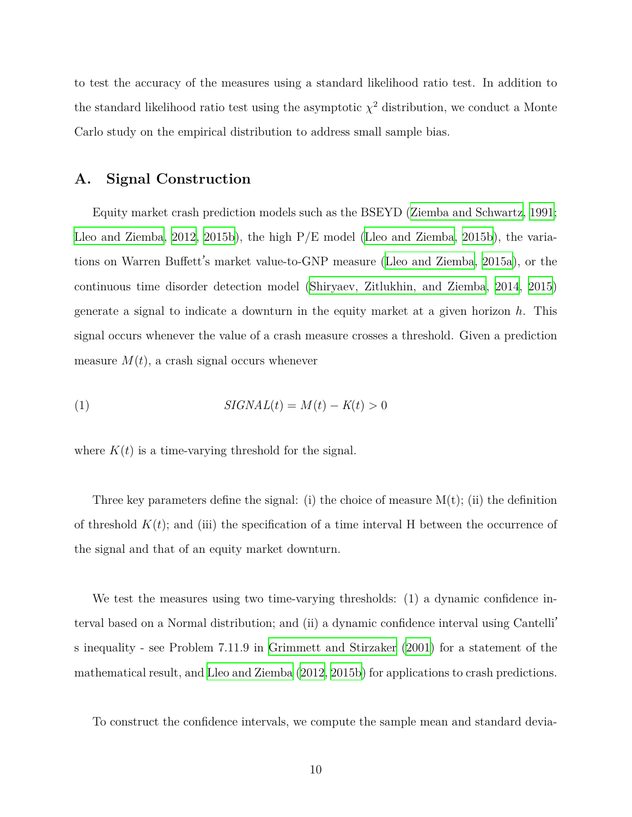to test the accuracy of the measures using a standard likelihood ratio test. In addition to the standard likelihood ratio test using the asymptotic  $\chi^2$  distribution, we conduct a Monte Carlo study on the empirical distribution to address small sample bias.

### **A. Signal Construction**

Equity market crash prediction models such as the BSEYD ([Ziemba and Schwartz,](#page-23-3) [1991;](#page-23-3) [Lleo and Ziemba,](#page-22-5) [2012,](#page-22-5) [2015b\)](#page-22-4), the high P/E model [\(Lleo and Ziemba](#page-22-4), [2015b\)](#page-22-4), the variations on Warren Buffett's market value-to-GNP measure [\(Lleo and Ziemba,](#page-22-3) [2015a\)](#page-22-3), or the continuous time disorder detection model [\(Shiryaev, Zitlukhin, and Ziemba](#page-23-4), [2014](#page-23-4), [2015](#page-23-5)) generate a signal to indicate a downturn in the equity market at a given horizon *h*. This signal occurs whenever the value of a crash measure crosses a threshold. Given a prediction measure  $M(t)$ , a crash signal occurs whenever

$$
(1) \t\t\t\t\tSIGNAL(t) = M(t) - K(t) > 0
$$

where  $K(t)$  is a time-varying threshold for the signal.

Three key parameters define the signal: (i) the choice of measure  $M(t)$ ; (ii) the definition of threshold  $K(t)$ ; and (iii) the specification of a time interval H between the occurrence of the signal and that of an equity market downturn.

We test the measures using two time-varying thresholds: (1) a dynamic confidence interval based on a Normal distribution; and (ii) a dynamic confidence interval using Cantelli' s inequality - see Problem 7.11.9 in [Grimmett and Stirzaker](#page-22-6) [\(2001\)](#page-22-6) for a statement of the mathematical result, and [Lleo and Ziemba](#page-22-5) [\(2012,](#page-22-5) [2015b](#page-22-4)) for applications to crash predictions.

To construct the confidence intervals, we compute the sample mean and standard devia-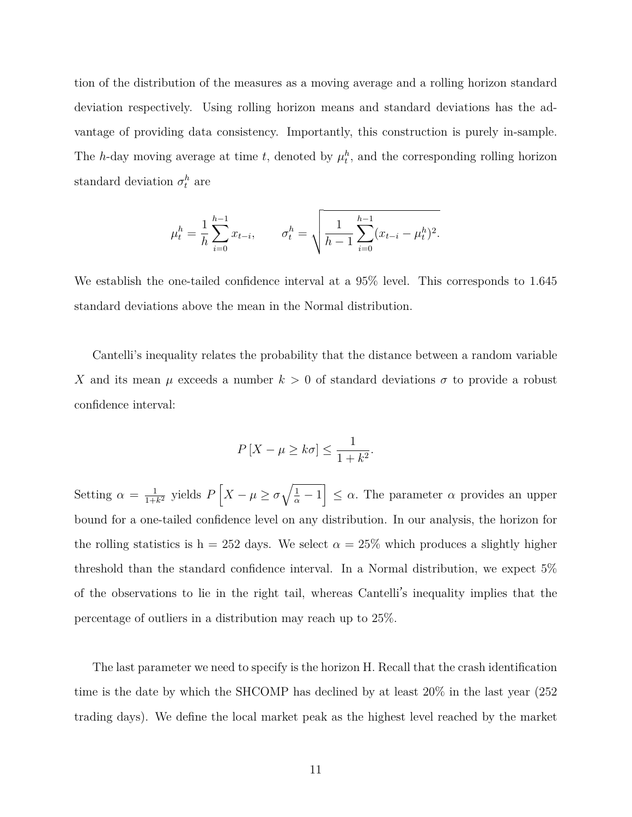tion of the distribution of the measures as a moving average and a rolling horizon standard deviation respectively. Using rolling horizon means and standard deviations has the advantage of providing data consistency. Importantly, this construction is purely in-sample. The *h*-day moving average at time *t*, denoted by  $\mu_t^h$ , and the corresponding rolling horizon standard deviation  $\sigma_t^h$  are

$$
\mu_t^h = \frac{1}{h} \sum_{i=0}^{h-1} x_{t-i}, \qquad \sigma_t^h = \sqrt{\frac{1}{h-1} \sum_{i=0}^{h-1} (x_{t-i} - \mu_t^h)^2}.
$$

We establish the one-tailed confidence interval at a 95% level. This corresponds to 1.645 standard deviations above the mean in the Normal distribution.

Cantelli's inequality relates the probability that the distance between a random variable *X* and its mean  $\mu$  exceeds a number  $k > 0$  of standard deviations  $\sigma$  to provide a robust confidence interval:

$$
P\left[X - \mu \ge k\sigma\right] \le \frac{1}{1 + k^2}.
$$

Setting  $\alpha = \frac{1}{1+1}$  $\frac{1}{1+k^2}$  yields  $P\left[X-\mu\geq \sigma\sqrt{\frac{1}{\alpha}-1}\right]\leq \alpha$ . The parameter  $\alpha$  provides an upper bound for a one-tailed confidence level on any distribution. In our analysis, the horizon for the rolling statistics is h = 252 days. We select  $\alpha = 25\%$  which produces a slightly higher threshold than the standard confidence interval. In a Normal distribution, we expect 5% of the observations to lie in the right tail, whereas Cantelli's inequality implies that the percentage of outliers in a distribution may reach up to 25%.

The last parameter we need to specify is the horizon H. Recall that the crash identification time is the date by which the SHCOMP has declined by at least 20% in the last year (252 trading days). We define the local market peak as the highest level reached by the market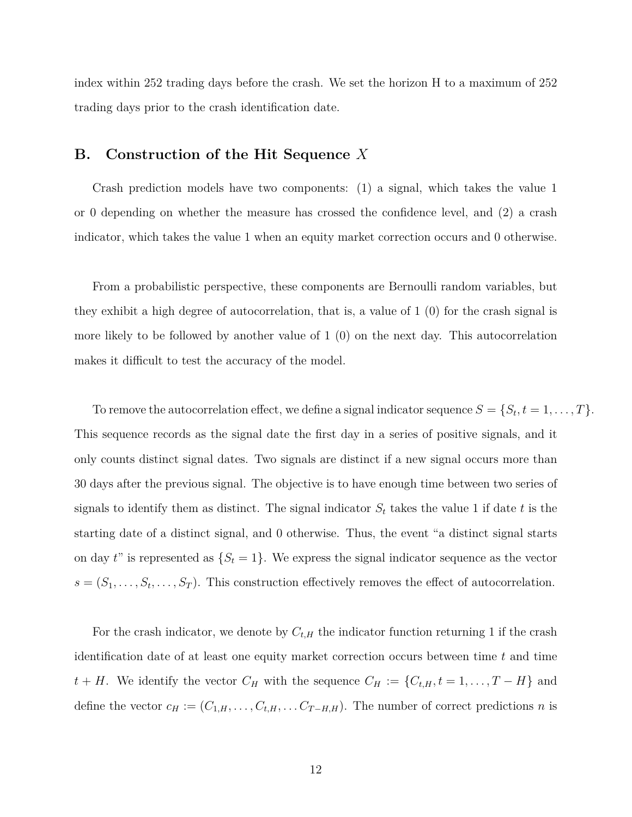index within 252 trading days before the crash. We set the horizon H to a maximum of 252 trading days prior to the crash identification date.

### **B. Construction of the Hit Sequence** *X*

Crash prediction models have two components: (1) a signal, which takes the value 1 or 0 depending on whether the measure has crossed the confidence level, and (2) a crash indicator, which takes the value 1 when an equity market correction occurs and 0 otherwise.

From a probabilistic perspective, these components are Bernoulli random variables, but they exhibit a high degree of autocorrelation, that is, a value of 1 (0) for the crash signal is more likely to be followed by another value of 1 (0) on the next day. This autocorrelation makes it difficult to test the accuracy of the model.

To remove the autocorrelation effect, we define a signal indicator sequence  $S = \{S_t, t = 1, \ldots, T\}$ . This sequence records as the signal date the first day in a series of positive signals, and it only counts distinct signal dates. Two signals are distinct if a new signal occurs more than 30 days after the previous signal. The objective is to have enough time between two series of signals to identify them as distinct. The signal indicator  $S_t$  takes the value 1 if date  $t$  is the starting date of a distinct signal, and 0 otherwise. Thus, the event "a distinct signal starts on day  $t$ " is represented as  $\{S_t = 1\}$ . We express the signal indicator sequence as the vector  $s = (S_1, \ldots, S_t, \ldots, S_T)$ . This construction effectively removes the effect of autocorrelation.

For the crash indicator, we denote by  $C_{t,H}$  the indicator function returning 1 if the crash identification date of at least one equity market correction occurs between time *t* and time *t* + *H*. We identify the vector *C<sub>H</sub>* with the sequence  $C_H := \{C_{t,H}, t = 1, \ldots, T - H\}$  and define the vector  $c_H := (C_{1,H}, \ldots, C_{t,H}, \ldots, C_{T-H,H})$ . The number of correct predictions *n* is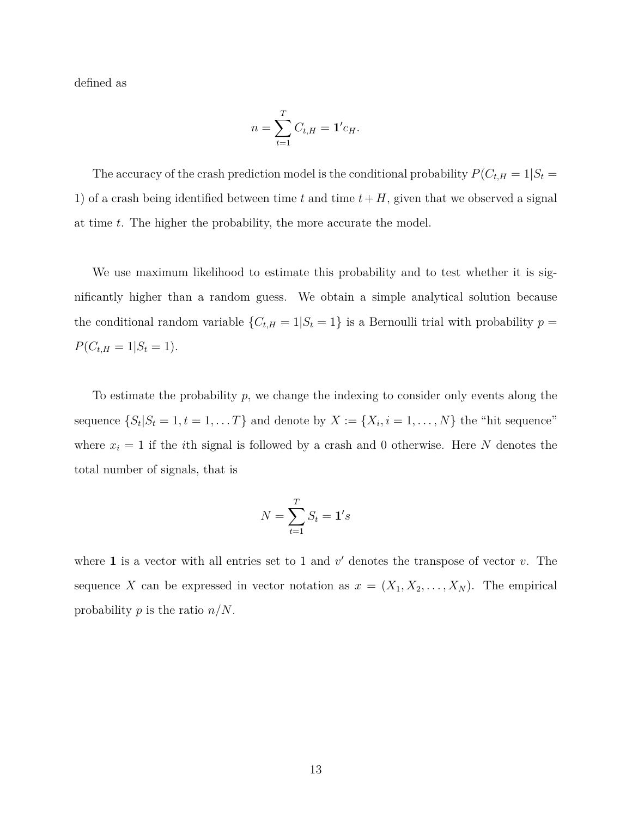defined as

$$
n = \sum_{t=1}^{T} C_{t,H} = \mathbf{1}' c_{H}.
$$

The accuracy of the crash prediction model is the conditional probability  $P(C_{t,H} = 1|S_t =$ 1) of a crash being identified between time  $t$  and time  $t + H$ , given that we observed a signal at time *t*. The higher the probability, the more accurate the model.

We use maximum likelihood to estimate this probability and to test whether it is significantly higher than a random guess. We obtain a simple analytical solution because the conditional random variable  ${C_{t,H} = 1 | S_t = 1}$  is a Bernoulli trial with probability  $p =$  $P(C_{t,H} = 1 | S_t = 1).$ 

To estimate the probability *p*, we change the indexing to consider only events along the sequence  $\{S_t | S_t = 1, t = 1, \ldots T\}$  and denote by  $X := \{X_i, i = 1, \ldots, N\}$  the "hit sequence" where  $x_i = 1$  if the *i*th signal is followed by a crash and 0 otherwise. Here *N* denotes the total number of signals, that is

$$
N = \sum_{t=1}^{T} S_t = \mathbf{1}'s
$$

where **1** is a vector with all entries set to 1 and  $v'$  denotes the transpose of vector  $v$ . The sequence *X* can be expressed in vector notation as  $x = (X_1, X_2, \ldots, X_N)$ . The empirical probability *p* is the ratio *n*/*N*.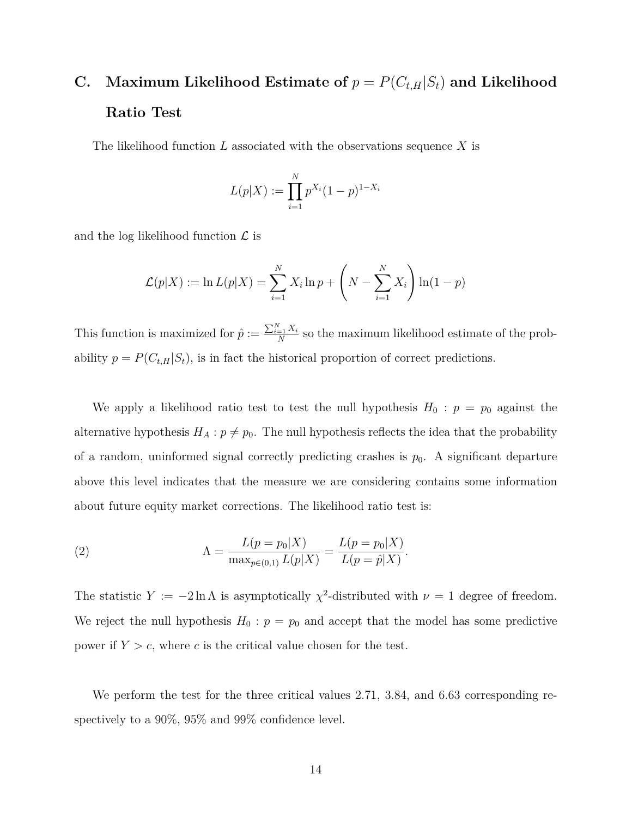## **C.** Maximum Likelihood Estimate of  $p = P(C_{t,H}|S_t)$  and Likelihood **Ratio Test**

The likelihood function *L* associated with the observations sequence *X* is

$$
L(p|X) := \prod_{i=1}^{N} p^{X_i} (1-p)^{1-X_i}
$$

and the log likelihood function *L* is

$$
\mathcal{L}(p|X) := \ln L(p|X) = \sum_{i=1}^{N} X_i \ln p + \left(N - \sum_{i=1}^{N} X_i\right) \ln(1-p)
$$

This function is maximized for  $\hat{p} := \frac{\sum_{i=1}^{N} X_i}{N}$  $\frac{z_1 - \lambda_i}{N}$  so the maximum likelihood estimate of the probability  $p = P(C_{t,H}|S_t)$ , is in fact the historical proportion of correct predictions.

We apply a likelihood ratio test to test the null hypothesis  $H_0$ :  $p = p_0$  against the alternative hypothesis  $H_A: p \neq p_0$ . The null hypothesis reflects the idea that the probability of a random, uninformed signal correctly predicting crashes is  $p_0$ . A significant departure above this level indicates that the measure we are considering contains some information about future equity market corrections. The likelihood ratio test is:

(2) 
$$
\Lambda = \frac{L(p = p_0|X)}{\max_{p \in (0,1)} L(p|X)} = \frac{L(p = p_0|X)}{L(p = \hat{p}|X)}.
$$

The statistic  $Y := -2 \ln \Lambda$  is asymptotically  $\chi^2$ -distributed with  $\nu = 1$  degree of freedom. We reject the null hypothesis  $H_0$ :  $p = p_0$  and accept that the model has some predictive power if  $Y > c$ , where c is the critical value chosen for the test.

We perform the test for the three critical values 2.71, 3.84, and 6.63 corresponding respectively to a 90%, 95% and 99% confidence level.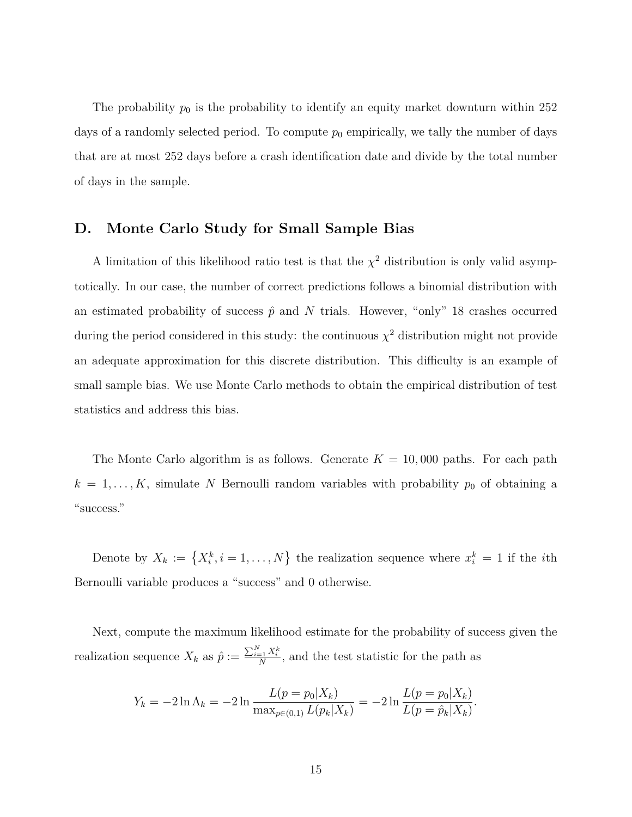The probability  $p_0$  is the probability to identify an equity market downturn within 252 days of a randomly selected period. To compute  $p_0$  empirically, we tally the number of days that are at most 252 days before a crash identification date and divide by the total number of days in the sample.

### **D. Monte Carlo Study for Small Sample Bias**

A limitation of this likelihood ratio test is that the  $\chi^2$  distribution is only valid asymptotically. In our case, the number of correct predictions follows a binomial distribution with an estimated probability of success  $\hat{p}$  and  $N$  trials. However, "only" 18 crashes occurred during the period considered in this study: the continuous  $\chi^2$  distribution might not provide an adequate approximation for this discrete distribution. This difficulty is an example of small sample bias. We use Monte Carlo methods to obtain the empirical distribution of test statistics and address this bias.

The Monte Carlo algorithm is as follows. Generate  $K = 10,000$  paths. For each path  $k = 1, \ldots, K$ , simulate *N* Bernoulli random variables with probability  $p_0$  of obtaining a "success."

Denote by  $X_k := \{X_i^k, i = 1, \ldots, N\}$  the realization sequence where  $x_i^k = 1$  if the *i*th Bernoulli variable produces a "success" and 0 otherwise.

Next, compute the maximum likelihood estimate for the probability of success given the realization sequence  $X_k$  as  $\hat{p} := \frac{\sum_{i=1}^N X_i^k}{N}$ , and the test statistic for the path as

$$
Y_k = -2\ln \Lambda_k = -2\ln \frac{L(p = p_0|X_k)}{\max_{p \in (0,1)} L(p_k|X_k)} = -2\ln \frac{L(p = p_0|X_k)}{L(p = \hat{p}_k|X_k)}.
$$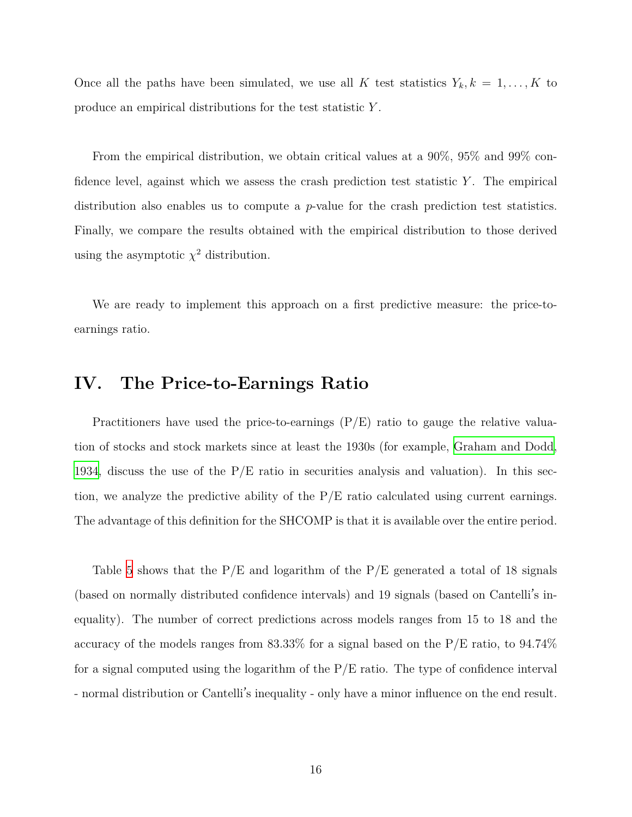Once all the paths have been simulated, we use all *K* test statistics  $Y_k, k = 1, \ldots, K$  to produce an empirical distributions for the test statistic *Y* .

From the empirical distribution, we obtain critical values at a 90%, 95% and 99% confidence level, against which we assess the crash prediction test statistic *Y* . The empirical distribution also enables us to compute a *p*-value for the crash prediction test statistics. Finally, we compare the results obtained with the empirical distribution to those derived using the asymptotic  $\chi^2$  distribution.

We are ready to implement this approach on a first predictive measure: the price-toearnings ratio.

## <span id="page-16-0"></span>**IV. The Price-to-Earnings Ratio**

Practitioners have used the price-to-earnings (P/E) ratio to gauge the relative valuation of stocks and stock markets since at least the 1930s (for example, [Graham and Dodd,](#page-22-7) [1934](#page-22-7), discuss the use of the  $P/E$  ratio in securities analysis and valuation). In this section, we analyze the predictive ability of the  $P/E$  ratio calculated using current earnings. The advantage of this definition for the SHCOMP is that it is available over the entire period.

Table [5](#page-30-0) shows that the  $P/E$  and logarithm of the  $P/E$  generated a total of 18 signals (based on normally distributed confidence intervals) and 19 signals (based on Cantelli's inequality). The number of correct predictions across models ranges from 15 to 18 and the accuracy of the models ranges from  $83.33\%$  for a signal based on the P/E ratio, to  $94.74\%$ for a signal computed using the logarithm of the P/E ratio. The type of confidence interval - normal distribution or Cantelli's inequality - only have a minor influence on the end result.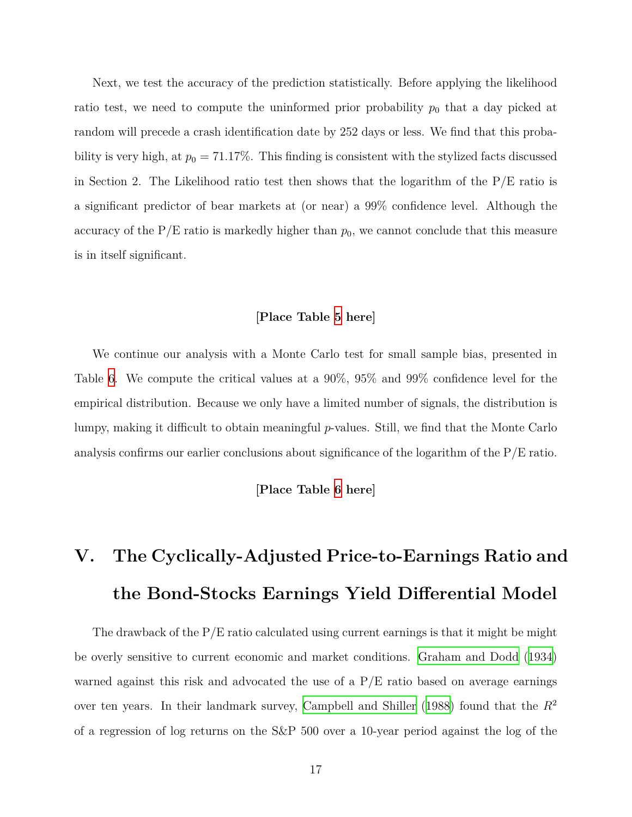Next, we test the accuracy of the prediction statistically. Before applying the likelihood ratio test, we need to compute the uninformed prior probability  $p_0$  that a day picked at random will precede a crash identification date by 252 days or less. We find that this probability is very high, at  $p_0 = 71.17\%$ . This finding is consistent with the stylized facts discussed in Section 2. The Likelihood ratio test then shows that the logarithm of the  $P/E$  ratio is a significant predictor of bear markets at (or near) a 99% confidence level. Although the accuracy of the  $P/E$  ratio is markedly higher than  $p_0$ , we cannot conclude that this measure is in itself significant.

#### **[Place Table [5](#page-30-0) here]**

We continue our analysis with a Monte Carlo test for small sample bias, presented in Table [6.](#page-30-1) We compute the critical values at a 90%, 95% and 99% confidence level for the empirical distribution. Because we only have a limited number of signals, the distribution is lumpy, making it difficult to obtain meaningful *p*-values. Still, we find that the Monte Carlo analysis confirms our earlier conclusions about significance of the logarithm of the P/E ratio.

#### **[Place Table [6](#page-30-1) here]**

# **V. The Cyclically-Adjusted Price-to-Earnings Ratio and the Bond-Stocks Earnings Yield Differential Model**

The drawback of the  $P/E$  ratio calculated using current earnings is that it might be might be overly sensitive to current economic and market conditions. [Graham and Dodd](#page-22-7) [\(1934](#page-22-7)) warned against this risk and advocated the use of a  $P/E$  ratio based on average earnings over ten years. In their landmark survey, [Campbell and Shiller](#page-22-8) ([1988](#page-22-8)) found that the *R*<sup>2</sup> of a regression of log returns on the S&P 500 over a 10-year period against the log of the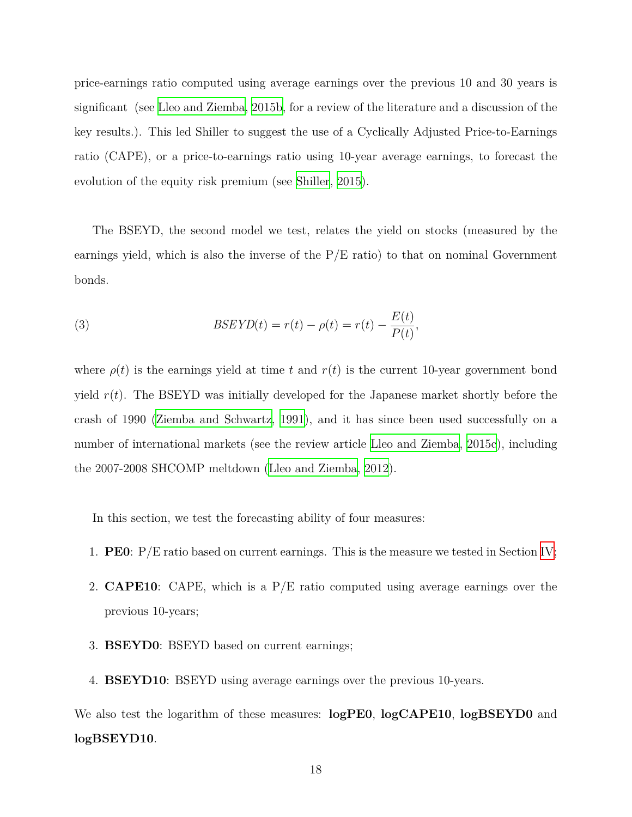price-earnings ratio computed using average earnings over the previous 10 and 30 years is significant (see [Lleo and Ziemba](#page-22-4), [2015b,](#page-22-4) for a review of the literature and a discussion of the key results.). This led Shiller to suggest the use of a Cyclically Adjusted Price-to-Earnings ratio (CAPE), or a price-to-earnings ratio using 10-year average earnings, to forecast the evolution of the equity risk premium (see [Shiller,](#page-23-6) [2015](#page-23-6)).

The BSEYD, the second model we test, relates the yield on stocks (measured by the earnings yield, which is also the inverse of the  $P/E$  ratio) to that on nominal Government bonds.

(3) 
$$
BSEYD(t) = r(t) - \rho(t) = r(t) - \frac{E(t)}{P(t)},
$$

where  $\rho(t)$  is the earnings yield at time t and  $r(t)$  is the current 10-year government bond yield *r*(*t*). The BSEYD was initially developed for the Japanese market shortly before the crash of 1990 [\(Ziemba and Schwartz](#page-23-3), [1991\)](#page-23-3), and it has since been used successfully on a number of international markets (see the review article [Lleo and Ziemba](#page-22-9), [2015c](#page-22-9)), including the 2007-2008 SHCOMP meltdown [\(Lleo and Ziemba](#page-22-5), [2012\)](#page-22-5).

In this section, we test the forecasting ability of four measures:

- 1. **PE0**: P/E ratio based on current earnings. This is the measure we tested in Section [IV;](#page-16-0)
- 2. **CAPE10**: CAPE, which is a P/E ratio computed using average earnings over the previous 10-years;
- 3. **BSEYD0**: BSEYD based on current earnings;
- 4. **BSEYD10**: BSEYD using average earnings over the previous 10-years.

We also test the logarithm of these measures: **logPE0**, **logCAPE10**, **logBSEYD0** and **logBSEYD10**.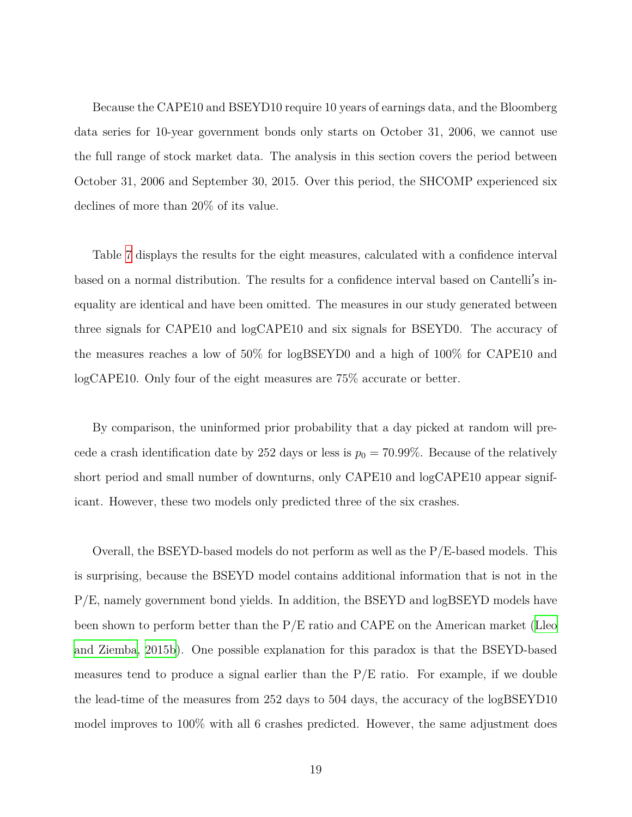Because the CAPE10 and BSEYD10 require 10 years of earnings data, and the Bloomberg data series for 10-year government bonds only starts on October 31, 2006, we cannot use the full range of stock market data. The analysis in this section covers the period between October 31, 2006 and September 30, 2015. Over this period, the SHCOMP experienced six declines of more than 20% of its value.

Table [7](#page-31-0) displays the results for the eight measures, calculated with a confidence interval based on a normal distribution. The results for a confidence interval based on Cantelli's inequality are identical and have been omitted. The measures in our study generated between three signals for CAPE10 and logCAPE10 and six signals for BSEYD0. The accuracy of the measures reaches a low of 50% for logBSEYD0 and a high of 100% for CAPE10 and logCAPE10. Only four of the eight measures are 75% accurate or better.

By comparison, the uninformed prior probability that a day picked at random will precede a crash identification date by 252 days or less is  $p_0 = 70.99\%$ . Because of the relatively short period and small number of downturns, only CAPE10 and logCAPE10 appear significant. However, these two models only predicted three of the six crashes.

Overall, the BSEYD-based models do not perform as well as the P/E-based models. This is surprising, because the BSEYD model contains additional information that is not in the P/E, namely government bond yields. In addition, the BSEYD and logBSEYD models have been shown to perform better than the P/E ratio and CAPE on the American market [\(Lleo](#page-22-4) [and Ziemba,](#page-22-4) [2015b\)](#page-22-4). One possible explanation for this paradox is that the BSEYD-based measures tend to produce a signal earlier than the  $P/E$  ratio. For example, if we double the lead-time of the measures from 252 days to 504 days, the accuracy of the logBSEYD10 model improves to 100% with all 6 crashes predicted. However, the same adjustment does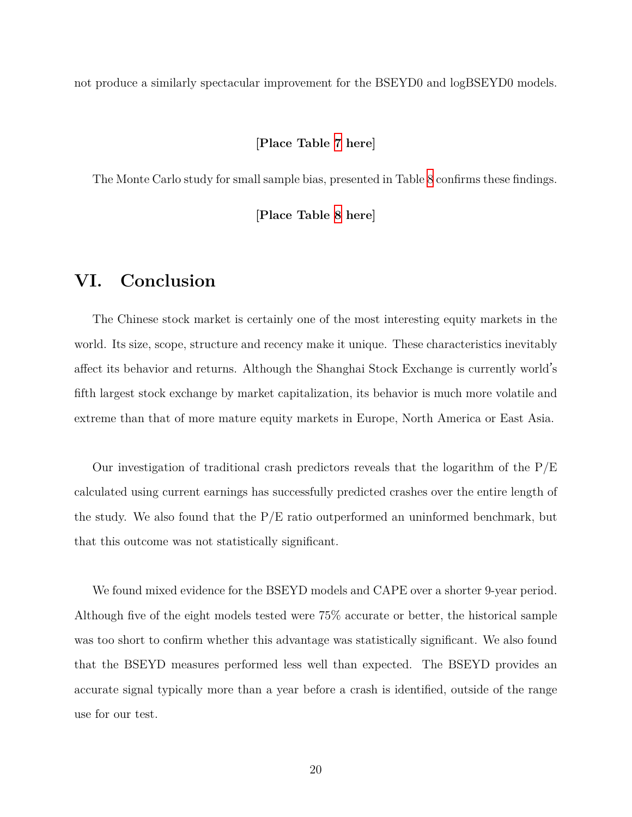not produce a similarly spectacular improvement for the BSEYD0 and logBSEYD0 models.

### **[Place Table [7](#page-31-0) here]**

The Monte Carlo study for small sample bias, presented in Table [8](#page-31-1) confirms these findings.

**[Place Table [8](#page-31-1) here]**

## **VI. Conclusion**

The Chinese stock market is certainly one of the most interesting equity markets in the world. Its size, scope, structure and recency make it unique. These characteristics inevitably affect its behavior and returns. Although the Shanghai Stock Exchange is currently world's fifth largest stock exchange by market capitalization, its behavior is much more volatile and extreme than that of more mature equity markets in Europe, North America or East Asia.

Our investigation of traditional crash predictors reveals that the logarithm of the  $P/E$ calculated using current earnings has successfully predicted crashes over the entire length of the study. We also found that the P/E ratio outperformed an uninformed benchmark, but that this outcome was not statistically significant.

We found mixed evidence for the BSEYD models and CAPE over a shorter 9-year period. Although five of the eight models tested were 75% accurate or better, the historical sample was too short to confirm whether this advantage was statistically significant. We also found that the BSEYD measures performed less well than expected. The BSEYD provides an accurate signal typically more than a year before a crash is identified, outside of the range use for our test.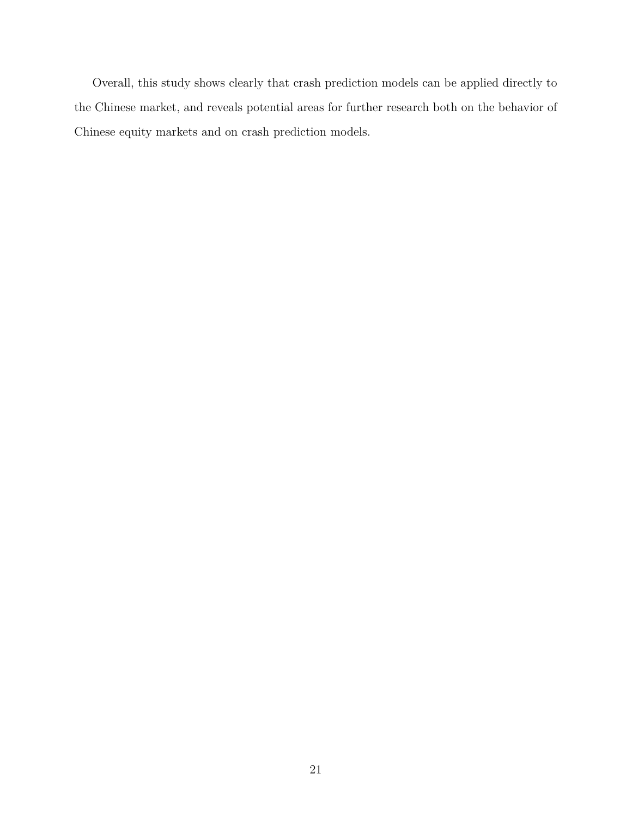Overall, this study shows clearly that crash prediction models can be applied directly to the Chinese market, and reveals potential areas for further research both on the behavior of Chinese equity markets and on crash prediction models.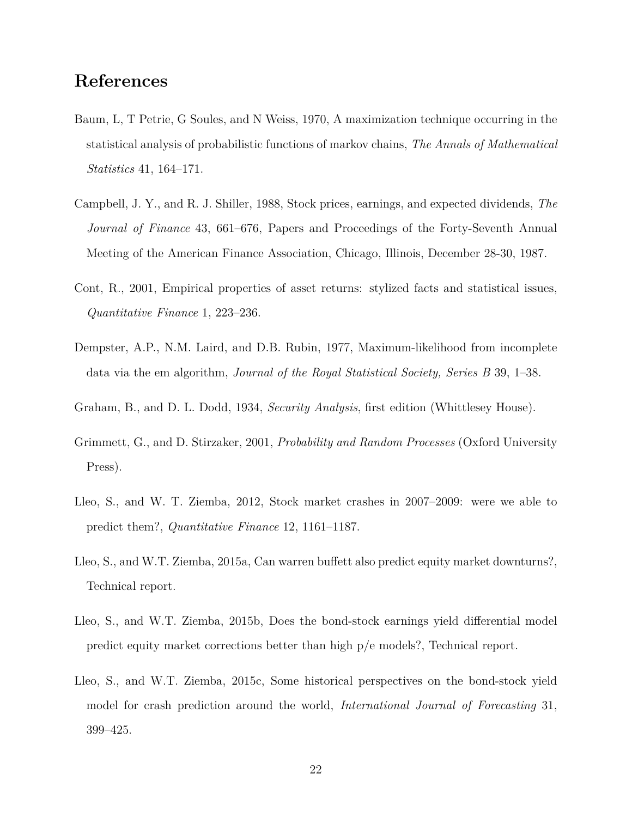## **References**

- <span id="page-22-1"></span>Baum, L, T Petrie, G Soules, and N Weiss, 1970, A maximization technique occurring in the statistical analysis of probabilistic functions of markov chains, *The Annals of Mathematical Statistics* 41, 164–171.
- <span id="page-22-8"></span>Campbell, J. Y., and R. J. Shiller, 1988, Stock prices, earnings, and expected dividends, *The Journal of Finance* 43, 661–676, Papers and Proceedings of the Forty-Seventh Annual Meeting of the American Finance Association, Chicago, Illinois, December 28-30, 1987.
- <span id="page-22-0"></span>Cont, R., 2001, Empirical properties of asset returns: stylized facts and statistical issues, *Quantitative Finance* 1, 223–236.
- <span id="page-22-2"></span>Dempster, A.P., N.M. Laird, and D.B. Rubin, 1977, Maximum-likelihood from incomplete data via the em algorithm, *Journal of the Royal Statistical Society, Series B* 39, 1–38.
- <span id="page-22-7"></span>Graham, B., and D. L. Dodd, 1934, *Security Analysis*, first edition (Whittlesey House).
- <span id="page-22-6"></span>Grimmett, G., and D. Stirzaker, 2001, *Probability and Random Processes* (Oxford University Press).
- <span id="page-22-5"></span>Lleo, S., and W. T. Ziemba, 2012, Stock market crashes in 2007–2009: were we able to predict them?, *Quantitative Finance* 12, 1161–1187.
- <span id="page-22-3"></span>Lleo, S., and W.T. Ziemba, 2015a, Can warren buffett also predict equity market downturns?, Technical report.
- <span id="page-22-4"></span>Lleo, S., and W.T. Ziemba, 2015b, Does the bond-stock earnings yield differential model predict equity market corrections better than high p/e models?, Technical report.
- <span id="page-22-9"></span>Lleo, S., and W.T. Ziemba, 2015c, Some historical perspectives on the bond-stock yield model for crash prediction around the world, *International Journal of Forecasting* 31, 399–425.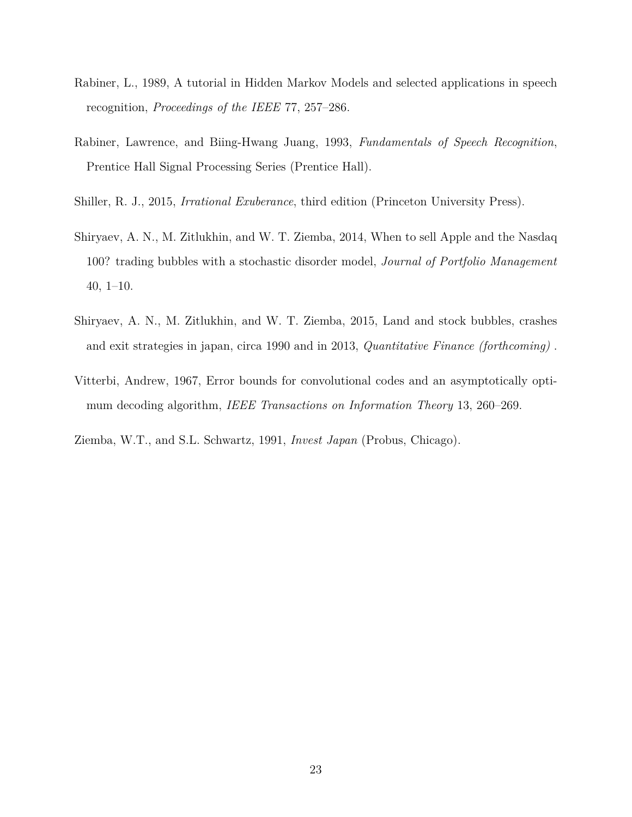- <span id="page-23-0"></span>Rabiner, L., 1989, A tutorial in Hidden Markov Models and selected applications in speech recognition, *Proceedings of the IEEE* 77, 257–286.
- <span id="page-23-1"></span>Rabiner, Lawrence, and Biing-Hwang Juang, 1993, *Fundamentals of Speech Recognition*, Prentice Hall Signal Processing Series (Prentice Hall).
- <span id="page-23-6"></span>Shiller, R. J., 2015, *Irrational Exuberance*, third edition (Princeton University Press).
- <span id="page-23-4"></span>Shiryaev, A. N., M. Zitlukhin, and W. T. Ziemba, 2014, When to sell Apple and the Nasdaq 100? trading bubbles with a stochastic disorder model, *Journal of Portfolio Management* 40, 1–10.
- <span id="page-23-5"></span>Shiryaev, A. N., M. Zitlukhin, and W. T. Ziemba, 2015, Land and stock bubbles, crashes and exit strategies in japan, circa 1990 and in 2013, *Quantitative Finance (forthcoming)* .
- <span id="page-23-2"></span>Vitterbi, Andrew, 1967, Error bounds for convolutional codes and an asymptotically optimum decoding algorithm, *IEEE Transactions on Information Theory* 13, 260–269.
- <span id="page-23-3"></span>Ziemba, W.T., and S.L. Schwartz, 1991, *Invest Japan* (Probus, Chicago).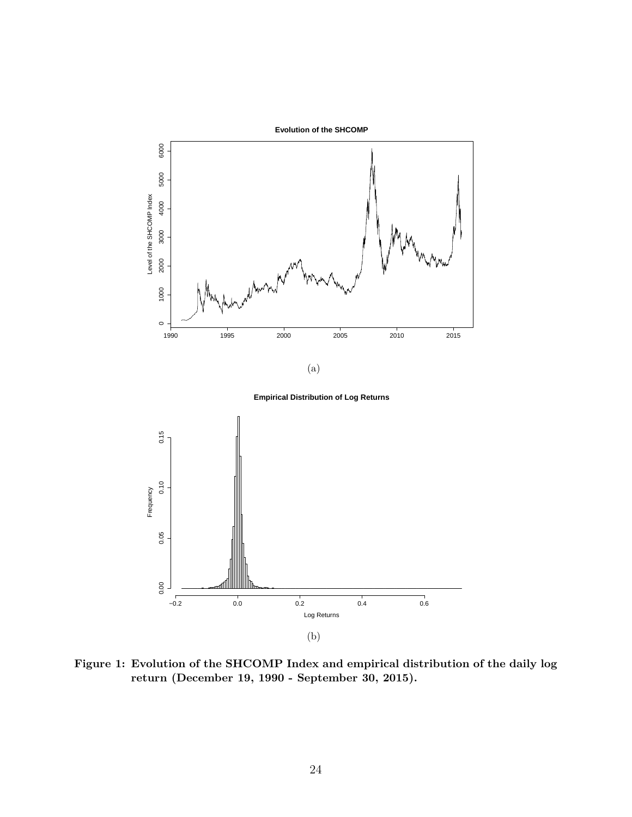<span id="page-24-0"></span>

**Figure 1: Evolution of the SHCOMP Index and empirical distribution of the daily log return (December 19, 1990 - September 30, 2015).**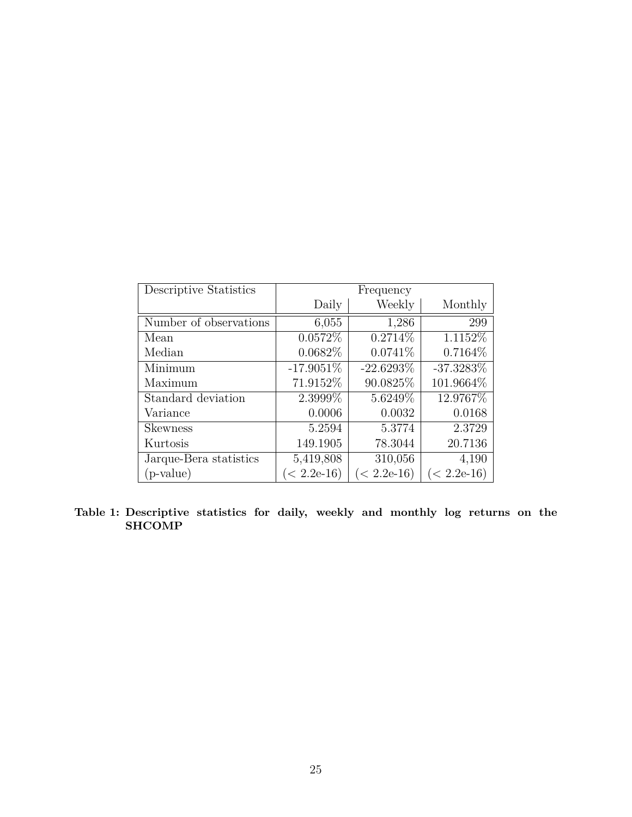<span id="page-25-0"></span>

| Descriptive Statistics | Frequency     |               |               |  |  |  |
|------------------------|---------------|---------------|---------------|--|--|--|
|                        | Daily         | Weekly        | Monthly       |  |  |  |
| Number of observations | 6,055         | 1,286         | 299           |  |  |  |
| Mean                   | 0.0572%       | 0.2714\%      | 1.1152\%      |  |  |  |
| Median                 | 0.0682%       | 0.0741\%      | 0.7164\%      |  |  |  |
| Minimum                | $-17.9051\%$  | $-22.6293\%$  | $-37.3283\%$  |  |  |  |
| Maximum                | 71.9152\%     | 90.0825\%     | 101.9664\%    |  |  |  |
| Standard deviation     | 2.3999%       | 5.6249\%      | 12.9767%      |  |  |  |
| Variance               | 0.0006        | 0.0032        | 0.0168        |  |  |  |
| <b>Skewness</b>        | 5.2594        | 5.3774        | 2.3729        |  |  |  |
| Kurtosis               | 149.1905      | 78.3044       | 20.7136       |  |  |  |
| Jarque-Bera statistics | 5,419,808     | 310,056       | 4,190         |  |  |  |
| (p-value)              | $(< 2.2e-16)$ | $(< 2.2e-16)$ | $(< 2.2e-16)$ |  |  |  |

**Table 1: Descriptive statistics for daily, weekly and monthly log returns on the SHCOMP**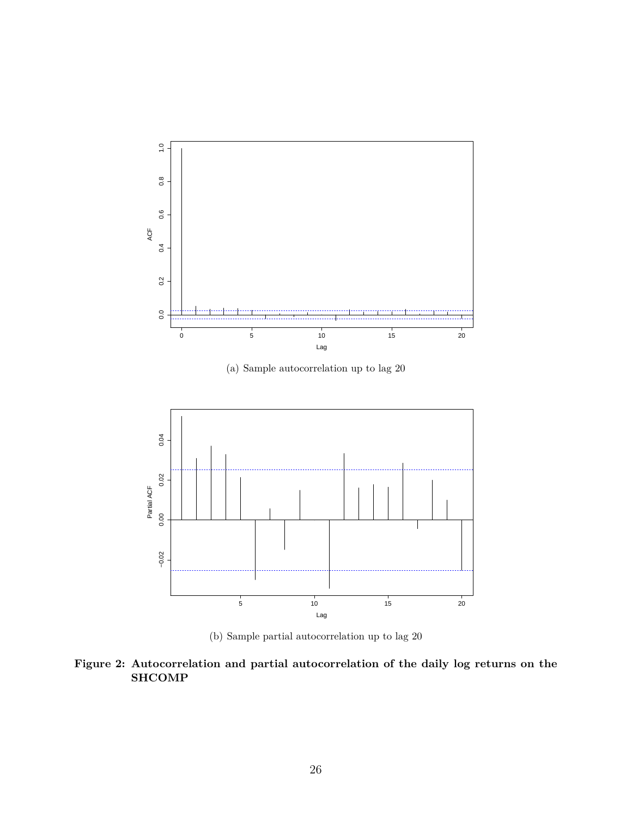<span id="page-26-0"></span>

(a) Sample autocorrelation up to lag 20



(b) Sample partial autocorrelation up to lag 20

**Figure 2: Autocorrelation and partial autocorrelation of the daily log returns on the SHCOMP**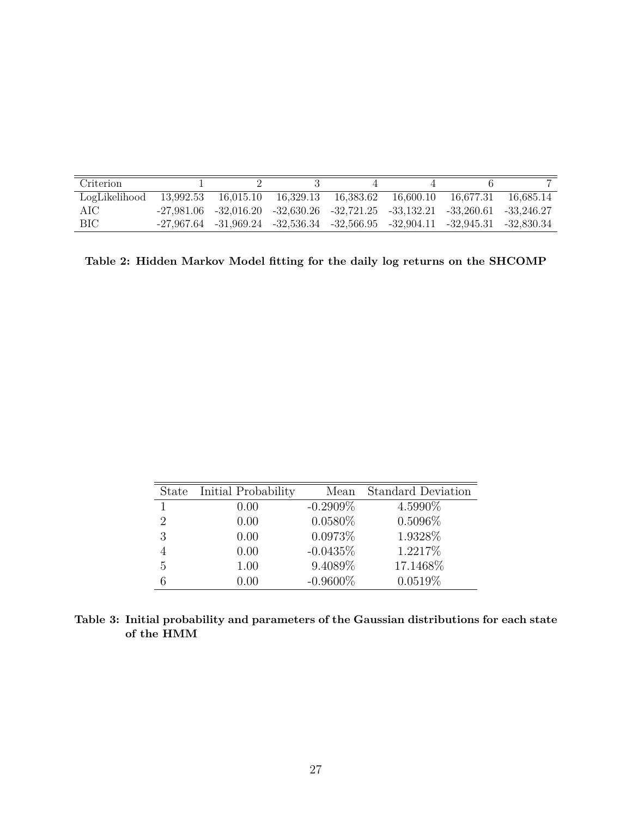<span id="page-27-0"></span>

| Criterion     |           |           |                                                                                            |                     |             |
|---------------|-----------|-----------|--------------------------------------------------------------------------------------------|---------------------|-------------|
| LogLikelihood | 13.992.53 | 16.015.10 | 16.329.13 16.383.62                                                                        | 16.600.10 16.677.31 | - 16.685.14 |
| AIC           |           |           | $-27,981.06$ $-32,016.20$ $-32,630.26$ $-32,721.25$ $-33,132.21$ $-33,260.61$ $-33,246.27$ |                     |             |
| BIC           |           |           | $-27,967.64$ $-31,969.24$ $-32,536.34$ $-32,566.95$ $-32,904.11$ $-32,945.31$ $-32,830.34$ |                     |             |

**Table 2: Hidden Markov Model fitting for the daily log returns on the SHCOMP**

<span id="page-27-1"></span>

| State | Initial Probability | Mean        | <b>Standard Deviation</b> |
|-------|---------------------|-------------|---------------------------|
|       | 0.00                | $-0.2909\%$ | 4.5990%                   |
| 2     | 0.00                | $0.0580\%$  | $0.5096\%$                |
| 3     | 0.00                | 0.0973%     | 1.9328%                   |
|       | 0.00                | $-0.0435%$  | 1.2217\%                  |
| 5     | 1.00                | 9.4089%     | 17.1468%                  |
|       | 0.00                | $-0.9600\%$ | 0.0519%                   |

**Table 3: Initial probability and parameters of the Gaussian distributions for each state of the HMM**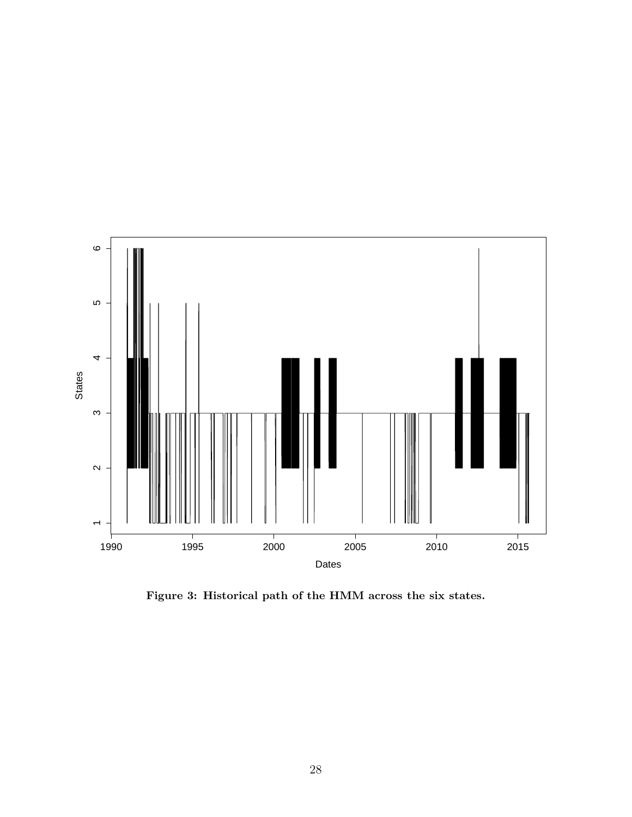<span id="page-28-0"></span>

**Figure 3: Historical path of the HMM across the six states.**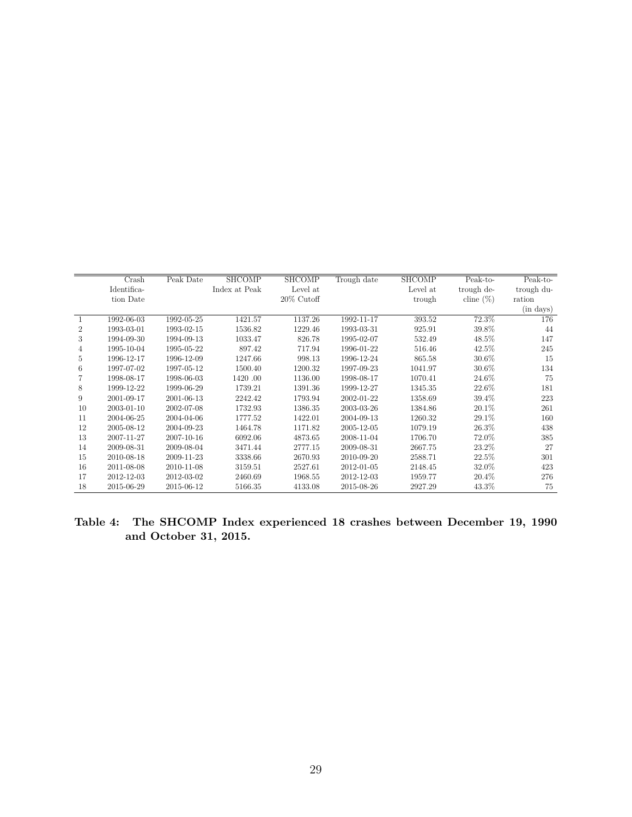<span id="page-29-0"></span>

|                | Crash       | Peak Date  | <b>SHCOMP</b> | <b>SHCOMP</b> | Trough date | <b>SHCOMP</b> | Peak-to-     | Peak-to-   |
|----------------|-------------|------------|---------------|---------------|-------------|---------------|--------------|------------|
|                | Identifica- |            | Index at Peak | Level at      |             | Level at      | trough de-   | trough du- |
|                | tion Date   |            |               | $20\%$ Cutoff |             | trough        | cline $(\%)$ | ration     |
|                |             |            |               |               |             |               |              | (in days)  |
|                | 1992-06-03  | 1992-05-25 | 1421.57       | 1137.26       | 1992-11-17  | 393.52        | 72.3%        | 176        |
| $\overline{2}$ | 1993-03-01  | 1993-02-15 | 1536.82       | 1229.46       | 1993-03-31  | 925.91        | 39.8%        | 44         |
| 3              | 1994-09-30  | 1994-09-13 | 1033.47       | 826.78        | 1995-02-07  | 532.49        | 48.5%        | 147        |
| 4              | 1995-10-04  | 1995-05-22 | 897.42        | 717.94        | 1996-01-22  | 516.46        | 42.5%        | 245        |
| 5              | 1996-12-17  | 1996-12-09 | 1247.66       | 998.13        | 1996-12-24  | 865.58        | 30.6%        | 15         |
| 6              | 1997-07-02  | 1997-05-12 | 1500.40       | 1200.32       | 1997-09-23  | 1041.97       | 30.6%        | 134        |
|                | 1998-08-17  | 1998-06-03 | 1420.00       | 1136.00       | 1998-08-17  | 1070.41       | 24.6%        | 75         |
| 8              | 1999-12-22  | 1999-06-29 | 1739.21       | 1391.36       | 1999-12-27  | 1345.35       | 22.6%        | 181        |
| 9              | 2001-09-17  | 2001-06-13 | 2242.42       | 1793.94       | 2002-01-22  | 1358.69       | 39.4%        | 223        |
| 10             | 2003-01-10  | 2002-07-08 | 1732.93       | 1386.35       | 2003-03-26  | 1384.86       | 20.1\%       | 261        |
| 11             | 2004-06-25  | 2004-04-06 | 1777.52       | 1422.01       | 2004-09-13  | 1260.32       | 29.1%        | 160        |
| 12             | 2005-08-12  | 2004-09-23 | 1464.78       | 1171.82       | 2005-12-05  | 1079.19       | 26.3%        | 438        |
| 13             | 2007-11-27  | 2007-10-16 | 6092.06       | 4873.65       | 2008-11-04  | 1706.70       | 72.0%        | 385        |
| 14             | 2009-08-31  | 2009-08-04 | 3471.44       | 2777.15       | 2009-08-31  | 2667.75       | 23.2%        | 27         |
| 15             | 2010-08-18  | 2009-11-23 | 3338.66       | 2670.93       | 2010-09-20  | 2588.71       | 22.5%        | 301        |
| 16             | 2011-08-08  | 2010-11-08 | 3159.51       | 2527.61       | 2012-01-05  | 2148.45       | 32.0%        | 423        |
| 17             | 2012-12-03  | 2012-03-02 | 2460.69       | 1968.55       | 2012-12-03  | 1959.77       | 20.4%        | 276        |
| 18             | 2015-06-29  | 2015-06-12 | 5166.35       | 4133.08       | 2015-08-26  | 2927.29       | 43.3%        | 75         |

**Table 4: The SHCOMP Index experienced 18 crashes between December 19, 1990 and October 31, 2015.**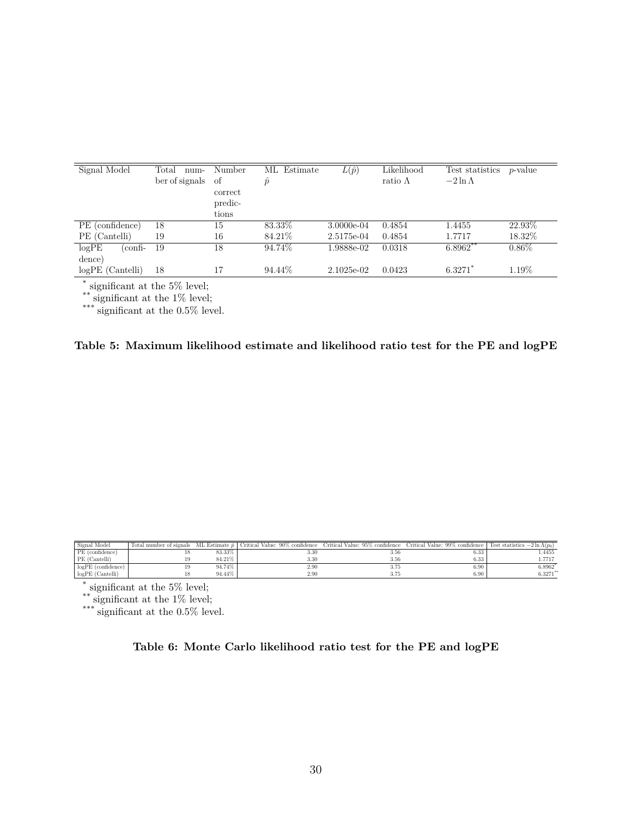<span id="page-30-0"></span>

| Signal Model       | Total<br>$num-$ | Number  | ML Estimate | $L(\hat{p})$ | Likelihood      | Test statistics | <i>p</i> -value |
|--------------------|-----------------|---------|-------------|--------------|-----------------|-----------------|-----------------|
|                    | ber of signals  | οf      | $\hat{p}$   |              | ratio $\Lambda$ | $-2\ln\Lambda$  |                 |
|                    |                 | correct |             |              |                 |                 |                 |
|                    |                 | predic- |             |              |                 |                 |                 |
|                    |                 | tions   |             |              |                 |                 |                 |
| PE (confidence)    | 18              | 15      | 83.33%      | $3.0000e-04$ | 0.4854          | 1.4455          | 22.93%          |
| PE (Cantelli)      | 19              | 16      | 84.21\%     | 2.5175e-04   | 0.4854          | 1.7717          | 18.32%          |
| logPE<br>(confi-   | 19              | 18      | 94.74%      | 1.9888e-02   | 0.0318          | $6.8962**$      | $0.86\%$        |
| dence)             |                 |         |             |              |                 |                 |                 |
| $logPE$ (Cantelli) | 18              | 17      | 94.44\%     | 2.1025e-02   | 0.0423          | $6.3271$ *      | 1.19%           |

\* significant at the 5% level;

\*\* significant at the 1\% level;

\*\*\* significant at the 0.5% level.

**Table 5: Maximum likelihood estimate and likelihood ratio test for the PE and logPE**

<span id="page-30-1"></span>

| Signal Model       | Total number of signals |        | ML Estimate $\hat{p}$ Critical Value: 90% confidence | Critical Value: 95% confidence Critical Value: 99% confidence   Test statistics $-2 \ln \Lambda(p_0)$ |      |             |
|--------------------|-------------------------|--------|------------------------------------------------------|-------------------------------------------------------------------------------------------------------|------|-------------|
| PE (confidence)    |                         | 83.33% | 3.30                                                 | 3.56                                                                                                  | 6.33 | 1.4455      |
| PE (Cantelli)      | 19                      | 84.21% | 3.30                                                 | 3.56                                                                                                  | 6.33 | 1.7717      |
| logPE (confidence) |                         | 94.74% | 2.90                                                 | 3.75                                                                                                  | 6.90 | 6.8962*     |
| $logPE$ (Cantelli) |                         | 94.44% | 2.90                                                 | 3.75                                                                                                  | 6.90 | $6.3271***$ |

\* significant at the 5% level;

\*\* significant at the 1% level;

\*\*\* significant at the 0.5% level.

**Table 6: Monte Carlo likelihood ratio test for the PE and logPE**